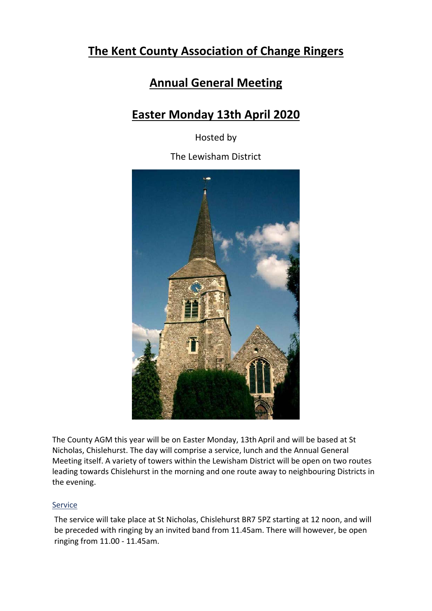## **The Kent County Association of Change Ringers**

## **Annual General Meeting**

# **Easter Monday 13th April 2020**

Hosted by

The Lewisham District



The County AGM this year will be on Easter Monday, 13th April and will be based at St Nicholas, Chislehurst. The day will comprise a service, lunch and the Annual General Meeting itself. A variety of towers within the Lewisham District will be open on two routes leading towards Chislehurst in the morning and one route away to neighbouring Districts in the evening.

## Service

The service will take place at St Nicholas, Chislehurst BR7 5PZ starting at 12 noon, and will be preceded with ringing by an invited band from 11.45am. There will however, be open ringing from 11.00 ‐ 11.45am.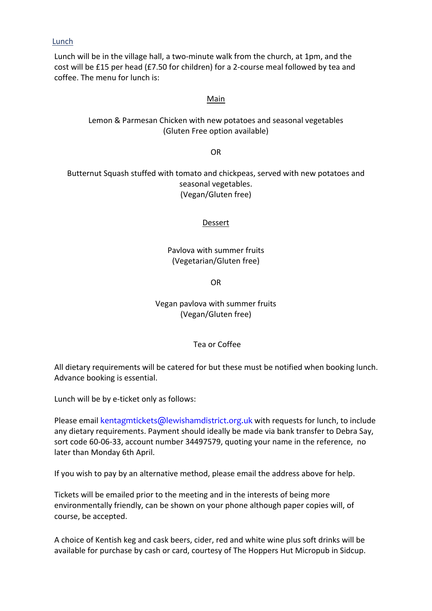#### Lunch

Lunch will be in the village hall, a two‐minute walk from the church, at 1pm, and the cost will be £15 per head (£7.50 for children) for a 2‐course meal followed by tea and coffee. The menu for lunch is:

#### Main

## Lemon & Parmesan Chicken with new potatoes and seasonal vegetables (Gluten Free option available)

OR

### Butternut Squash stuffed with tomato and chickpeas, served with new potatoes and seasonal vegetables. (Vegan/Gluten free)

#### Dessert

Pavlova with summer fruits (Vegetarian/Gluten free)

OR

Vegan pavlova with summer fruits (Vegan/Gluten free)

Tea or Coffee

All dietary requirements will be catered for but these must be notified when booking lunch. Advance booking is essential.

Lunch will be by e-ticket only as follows:

Please email kentagmtickets@lewishamdistrict.org.uk with requests for lunch, to include any dietary requirements. Payment should ideally be made via bank transfer to Debra Say, sort code 60‐06‐33, account number 34497579, quoting your name in the reference, no later than Monday 6th April.

If you wish to pay by an alternative method, please email the address above for help.

Tickets will be emailed prior to the meeting and in the interests of being more environmentally friendly, can be shown on your phone although paper copies will, of course, be accepted.

A choice of Kentish keg and cask beers, cider, red and white wine plus soft drinks will be available for purchase by cash or card, courtesy of The Hoppers Hut Micropub in Sidcup.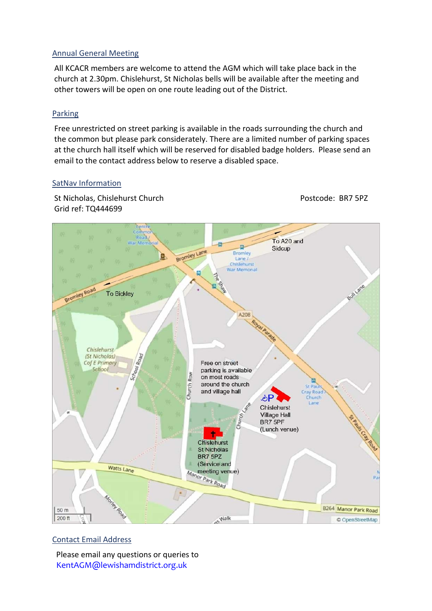### Annual General Meeting

All KCACR members are welcome to attend the AGM which will take place back in the church at 2.30pm. Chislehurst, St Nicholas bells will be available after the meeting and other towers will be open on one route leading out of the District.

#### Parking

Free unrestricted on street parking is available in the roads surrounding the church and the common but please park considerately. There are a limited number of parking spaces at the church hall itself which will be reserved for disabled badge holders. Please send an email to the contact address below to reserve a disabled space.

#### SatNav Information

St Nicholas, Chislehurst Church 
BR7 5PZ Grid ref: TQ444699



## Contact Email Address

Please email any questions or queries to KentAGM@lewishamdistrict.org.uk